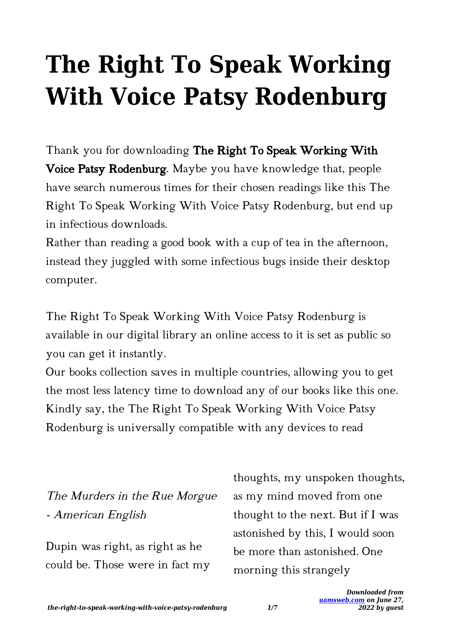# **The Right To Speak Working With Voice Patsy Rodenburg**

Thank you for downloading The Right To Speak Working With Voice Patsy Rodenburg. Maybe you have knowledge that, people have search numerous times for their chosen readings like this The Right To Speak Working With Voice Patsy Rodenburg, but end up in infectious downloads.

Rather than reading a good book with a cup of tea in the afternoon, instead they juggled with some infectious bugs inside their desktop computer.

The Right To Speak Working With Voice Patsy Rodenburg is available in our digital library an online access to it is set as public so you can get it instantly.

Our books collection saves in multiple countries, allowing you to get the most less latency time to download any of our books like this one. Kindly say, the The Right To Speak Working With Voice Patsy Rodenburg is universally compatible with any devices to read

The Murders in the Rue Morgue - American English

Dupin was right, as right as he could be. Those were in fact my thoughts, my unspoken thoughts, as my mind moved from one thought to the next. But if I was astonished by this, I would soon be more than astonished. One morning this strangely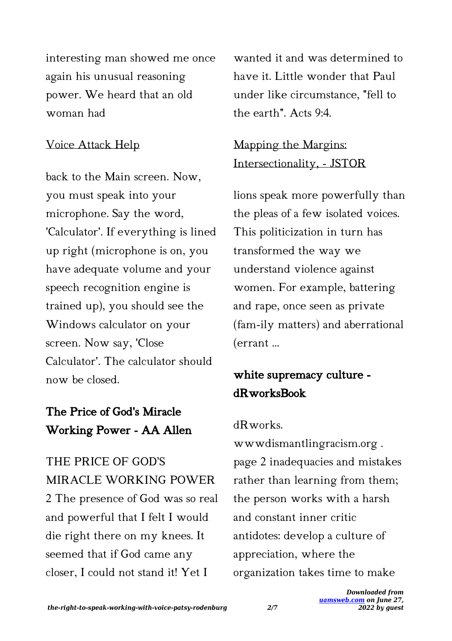interesting man showed me once again his unusual reasoning power. We heard that an old woman had

#### Voice Attack Help

back to the Main screen. Now, you must speak into your microphone. Say the word, 'Calculator'. If everything is lined up right (microphone is on, you have adequate volume and your speech recognition engine is trained up), you should see the Windows calculator on your screen. Now say, 'Close Calculator'. The calculator should now be closed.

## The Price of God's Miracle Working Power - AA Allen

THE PRICE OF GOD'S MIRACLE WORKING POWER 2 The presence of God was so real and powerful that I felt I would die right there on my knees. It seemed that if God came any closer, I could not stand it! Yet I

wanted it and was determined to have it. Little wonder that Paul under like circumstance, "fell to the earth". Acts 9:4.

## Mapping the Margins: Intersectionality, - JSTOR

lions speak more powerfully than the pleas of a few isolated voices. This politicization in turn has transformed the way we understand violence against women. For example, battering and rape, once seen as private (fam-ily matters) and aberrational (errant …

# white supremacy culture dRworksBook

## dRworks.

wwwdismantlingracism.org . page 2 inadequacies and mistakes rather than learning from them; the person works with a harsh and constant inner critic antidotes: develop a culture of appreciation, where the organization takes time to make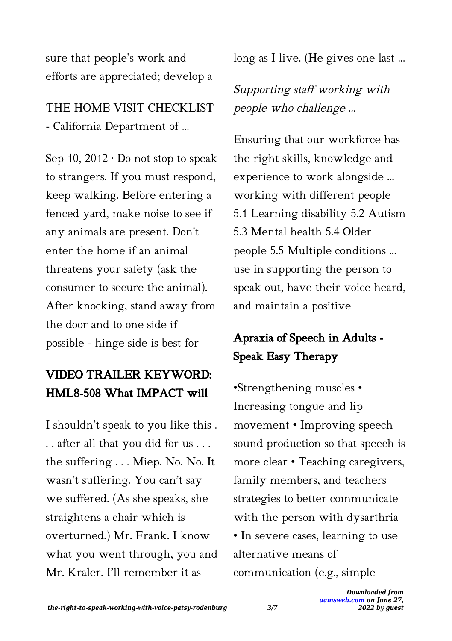sure that people's work and efforts are appreciated; develop a

## THE HOME VISIT CHECKLIST - California Department of …

Sep 10,  $2012 \cdot$  Do not stop to speak to strangers. If you must respond, keep walking. Before entering a fenced yard, make noise to see if any animals are present. Don't enter the home if an animal threatens your safety (ask the consumer to secure the animal). After knocking, stand away from the door and to one side if possible - hinge side is best for

# VIDEO TRAILER KEYWORD: HML8-508 What IMPACT will

I shouldn't speak to you like this . . . after all that you did for us . . . the suffering . . . Miep. No. No. It wasn't suffering. You can't say we suffered. (As she speaks, she straightens a chair which is overturned.) Mr. Frank. I know what you went through, you and Mr. Kraler. I'll remember it as

long as I live. (He gives one last ...

## Supporting staff working with people who challenge …

Ensuring that our workforce has the right skills, knowledge and experience to work alongside ... working with different people 5.1 Learning disability 5.2 Autism 5.3 Mental health 5.4 Older people 5.5 Multiple conditions ... use in supporting the person to speak out, have their voice heard, and maintain a positive

# Apraxia of Speech in Adults - Speak Easy Therapy

•Strengthening muscles • Increasing tongue and lip movement • Improving speech sound production so that speech is more clear • Teaching caregivers, family members, and teachers strategies to better communicate with the person with dysarthria • In severe cases, learning to use alternative means of communication (e.g., simple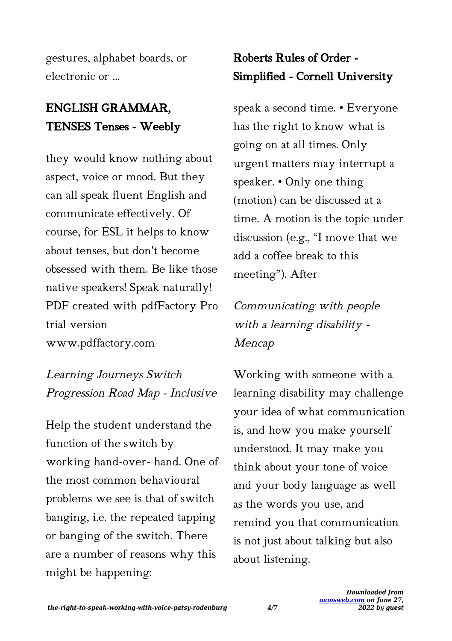gestures, alphabet boards, or electronic or …

# ENGLISH GRAMMAR, TENSES Tenses - Weebly

they would know nothing about aspect, voice or mood. But they can all speak fluent English and communicate effectively. Of course, for ESL it helps to know about tenses, but don't become obsessed with them. Be like those native speakers! Speak naturally! PDF created with pdfFactory Pro trial version www.pdffactory.com

Learning Journeys Switch Progression Road Map - Inclusive

Help the student understand the function of the switch by working hand-over- hand. One of the most common behavioural problems we see is that of switch banging, i.e. the repeated tapping or banging of the switch. There are a number of reasons why this might be happening:

# Roberts Rules of Order - Simplified - Cornell University

speak a second time. • Everyone has the right to know what is going on at all times. Only urgent matters may interrupt a speaker. • Only one thing (motion) can be discussed at a time. A motion is the topic under discussion (e.g., "I move that we add a coffee break to this meeting"). After

Communicating with people with a learning disability - Mencap

Working with someone with a learning disability may challenge your idea of what communication is, and how you make yourself understood. It may make you think about your tone of voice and your body language as well as the words you use, and remind you that communication is not just about talking but also about listening.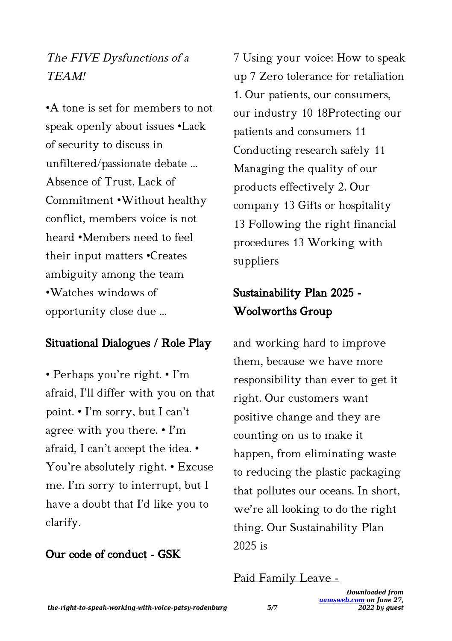## The FIVE Dysfunctions of a TEAM!

•A tone is set for members to not speak openly about issues •Lack of security to discuss in unfiltered/passionate debate ... Absence of Trust. Lack of Commitment •Without healthy conflict, members voice is not heard •Members need to feel their input matters •Creates ambiguity among the team •Watches windows of opportunity close due ...

## Situational Dialogues / Role Play

• Perhaps you're right. • I'm afraid, I'll differ with you on that point. • I'm sorry, but I can't agree with you there. • I'm afraid, I can't accept the idea. • You're absolutely right. • Excuse me. I'm sorry to interrupt, but I have a doubt that I'd like you to clarify.

## Our code of conduct - GSK

7 Using your voice: How to speak up 7 Zero tolerance for retaliation 1. Our patients, our consumers, our industry 10 18Protecting our patients and consumers 11 Conducting research safely 11 Managing the quality of our products effectively 2. Our company 13 Gifts or hospitality 13 Following the right financial procedures 13 Working with suppliers

## Sustainability Plan 2025 - Woolworths Group

and working hard to improve them, because we have more responsibility than ever to get it right. Our customers want positive change and they are counting on us to make it happen, from eliminating waste to reducing the plastic packaging that pollutes our oceans. In short, we're all looking to do the right thing. Our Sustainability Plan 2025 is

#### Paid Family Leave -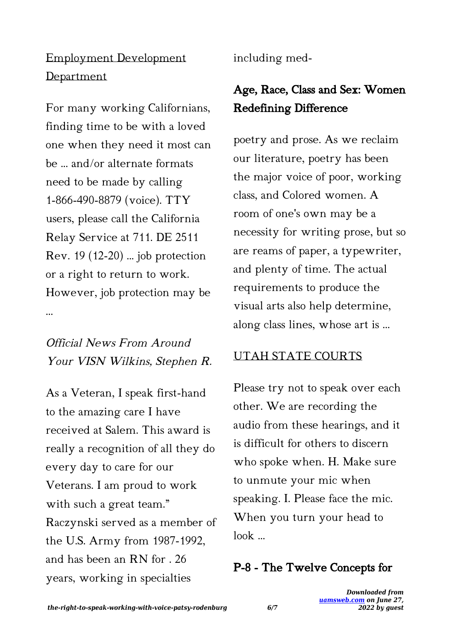## Employment Development Department

For many working Californians, finding time to be with a loved one when they need it most can be ... and/or alternate formats need to be made by calling 1-866-490-8879 (voice). TTY users, please call the California Relay Service at 711. DE 2511 Rev. 19 (12-20) ... job protection or a right to return to work. However, job protection may be ...

## Official News From Around Your VISN Wilkins, Stephen R.

As a Veteran, I speak first-hand to the amazing care I have received at Salem. This award is really a recognition of all they do every day to care for our Veterans. I am proud to work with such a great team." Raczynski served as a member of the U.S. Army from 1987-1992, and has been an RN for . 26 years, working in specialties

including med-

# Age, Race, Class and Sex: Women Redefining Difference

poetry and prose. As we reclaim our literature, poetry has been the major voice of poor, working class, and Colored women. A room of one's own may be a necessity for writing prose, but so are reams of paper, a typewriter, and plenty of time. The actual requirements to produce the visual arts also help determine, along class lines, whose art is ...

## UTAH STATE COURTS

Please try not to speak over each other. We are recording the audio from these hearings, and it is difficult for others to discern who spoke when. H. Make sure to unmute your mic when speaking. I. Please face the mic. When you turn your head to look …

## P-8 - The Twelve Concepts for